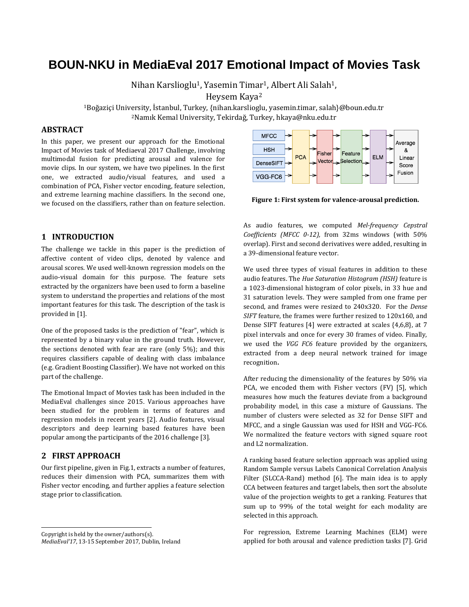# **BOUN-NKU in MediaEval 2017 Emotional Impact of Movies Task**

Nihan Karslioglu<sup>1</sup>, Yasemin Timar<sup>1</sup>, Albert Ali Salah<sup>1</sup>,

Heysem Kaya<sup>2</sup>

<sup>1</sup>Boğaziçi University, İstanbul, Turkey, {[nihan.karslioglu](mailto:nihan.karslioglu@boun.edu.tr), yasemin.timar, salah}@boun.edu.tr <sup>2</sup>Namık Kemal University, Tekirdağ, Turkey, hkaya@nku.edu.tr

# **ABSTRACT**

In this paper, we present our approach for the Emotional Impact of Movies task of Mediaeval 2017 Challenge, involving multimodal fusion for predicting arousal and valence for movie clips. In our system, we have two pipelines. In the first one, we extracted audio/visual features, and used a combination of PCA, Fisher vector encoding, feature selection, and extreme learning machine classifiers. In the second one, we focused on the classifiers, rather than on feature selection.

#### **1 INTRODUCTION**

The challenge we tackle in this paper is the prediction of affective content of video clips, denoted by valence and arousal scores. We used well-known regression models on the audio-visual domain for this purpose. The feature sets extracted by the organizers have been used to form a baseline system to understand the properties and relations of the most important features for this task. The description of the task is provided in [1].

One of the proposed tasks is the prediction of "fear", which is represented by a binary value in the ground truth. However, the sections denoted with fear are rare (only 5%); and this requires classifiers capable of dealing with class imbalance (e.g. Gradient Boosting Classifier). We have not worked on this part of the challenge.

The Emotional Impact of Movies task has been included in the MediaEval challenges since 2015. Various approaches have been studied for the problem in terms of features and regression models in recent years [2]. Audio features, visual descriptors and deep learning based features have been popular among the participants of the 2016 challenge [3].

# **2 FIRST APPROACH**

j

Our first pipeline, given in Fig.1, extracts a number of features, reduces their dimension with PCA, summarizes them with Fisher vector encoding, and further applies a feature selection stage prior to classification.

Copyright is held by the owner/authors(s). *MediaEval'17*, 13-15 September 2017, Dublin, Ireland



**Figure 1: First system for valence-arousal prediction.**

As audio features, we computed *Mel-frequency Cepstral Coefficients (MFCC 0-12),* from 32ms windows (with 50% overlap). First and second derivatives were added, resulting in a 39-dimensional feature vector.

We used three types of visual features in addition to these audio features. The *Hue Saturation Histogram (HSH)* feature is a 1023-dimensional histogram of color pixels, in 33 hue and 31 saturation levels. They were sampled from one frame per second, and frames were resized to 240x320. For the *Dense SIFT* feature, the frames were further resized to 120x160, and Dense SIFT features [4] were extracted at scales {4,6,8}, at 7 pixel intervals and once for every 30 frames of video. Finally, we used the *VGG FC6* feature provided by the organizers, extracted from a deep neural network trained for image recognition**.**

After reducing the dimensionality of the features by 50% via PCA, we encoded them with Fisher vectors (FV) [5], which measures how much the features deviate from a background probability model, in this case a mixture of Gaussians. The number of clusters were selected as 32 for Dense SIFT and MFCC, and a single Gaussian was used for HSH and VGG-FC6. We normalized the feature vectors with signed square root and L2 normalization.

A ranking based feature selection approach was applied using Random Sample versus Labels Canonical Correlation Analysis Filter (SLCCA-Rand) method [6]. The main idea is to apply CCA between features and target labels, then sort the absolute value of the projection weights to get a ranking. Features that sum up to 99% of the total weight for each modality are selected in this approach.

For regression, Extreme Learning Machines (ELM) were applied for both arousal and valence prediction tasks [7]. Grid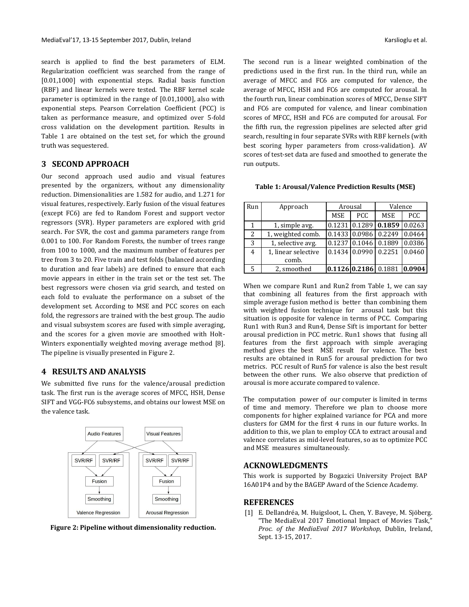search is applied to find the best parameters of ELM. Regularization coefficient was searched from the range of [0.01,1000] with exponential steps. Radial basis function (RBF) and linear kernels were tested. The RBF kernel scale parameter is optimized in the range of [0.01,1000], also with exponential steps. Pearson Correlation Coefficient (PCC) is taken as performance measure, and optimized over 5-fold cross validation on the development partition. Results in Table 1 are obtained on the test set, for which the ground truth was sequestered.

#### **3 SECOND APPROACH**

Our second approach used audio and visual features presented by the organizers, without any dimensionality reduction. Dimensionalities are 1.582 for audio, and 1.271 for visual features, respectively. Early fusion of the visual features (except FC6) are fed to Random Forest and support vector regressors (SVR). Hyper parameters are explored with grid search. For SVR, the cost and gamma parameters range from 0.001 to 100. For Random Forests, the number of trees range from 100 to 1000, and the maximum number of features per tree from 3 to 20. Five train and test folds (balanced according to duration and fear labels) are defined to ensure that each movie appears in either in the train set or the test set. The best regressors were chosen via grid search, and tested on each fold to evaluate the performance on a subset of the development set. According to MSE and PCC scores on each fold, the regressors are trained with the best group. The audio and visual subsystem scores are fused with simple averaging, and the scores for a given movie are smoothed with Holt-Winters exponentially weighted moving average method [8]. The pipeline is visually presented in Figure 2.

### **4 RESULTS AND ANALYSIS**

We submitted five runs for the valence/arousal prediction task. The first run is the average scores of MFCC, HSH, Dense SIFT and VGG-FC6 subsystems, and obtains our lowest MSE on the valence task.



**Figure 2: Pipeline without dimensionality reduction.**

The second run is a linear weighted combination of the predictions used in the first run. In the third run, while an average of MFCC and FC6 are computed for valence, the average of MFCC, HSH and FC6 are computed for arousal. In the fourth run, linear combination scores of MFCC, Dense SIFT and FC6 are computed for valence, and linear combination scores of MFCC, HSH and FC6 are computed for arousal. For the fifth run, the regression pipelines are selected after grid search, resulting in four separate SVRs with RBF kernels (with best scoring hyper parameters from cross-validation). AV scores of test-set data are fused and smoothed to generate the run outputs.

| <b>Table 1: Arousal/Valence Prediction Results (MSE)</b> |  |  |
|----------------------------------------------------------|--|--|
|                                                          |  |  |

| Run | Approach                     | Arousal    |            | Valence                                      |            |
|-----|------------------------------|------------|------------|----------------------------------------------|------------|
|     |                              | <b>MSE</b> | <b>PCC</b> | <b>MSE</b>                                   | <b>PCC</b> |
|     | 1, simple avg.               |            |            | $0.1231$ 0.1289 0.1859 0.0263                |            |
| 2   | 1, weighted comb.            |            |            | $0.1433 \mid 0.0986 \mid 0.2249 \mid 0.0464$ |            |
| 3   | 1, selective avg.            |            |            | 0.1237 0.1046 0.1889 0.0386                  |            |
| 4   | 1, linear selective<br>comb. |            |            | $0.1434$ 0.0990 0.2251 0.0460                |            |
|     | 2, smoothed                  |            |            | 0.1126 0.2186 0.1881 0.0904                  |            |

When we compare Run1 and Run2 from Table 1, we can say that combining all features from the first approach with simple average fusion method is better than combining them with weighted fusion technique for arousal task but this situation is opposite for valence in terms of PCC. Comparing Run1 with Run3 and Run4, Dense Sift is important for better arousal prediction in PCC metric. Run1 shows that fusing all features from the first approach with simple averaging method gives the best MSE result for valence. The best results are obtained in Run5 for arousal prediction for two metrics. PCC result of Run5 for valence is also the best result between the other runs. We also observe that prediction of arousal is more accurate compared to valence.

The computation power of our computer is limited in terms of time and memory. Therefore we plan to choose more components for higher explained variance for PCA and more clusters for GMM for the first 4 runs in our future works. In addition to this, we plan to employ CCA to extract arousal and valence correlates as mid-level features, so as to optimize PCC and MSE measures simultaneously.

#### **ACKNOWLEDGMENTS**

This work is supported by Bogazici University Project BAP 16A01P4 and by the BAGEP Award of the Science Academy.

#### **REFERENCES**

[1] E. Dellandréa, M. Huigsloot, L. Chen, Y. Baveye, M. Sjöberg. "The MediaEval 2017 Emotional Impact of Movies Task," *Proc. of the MediaEval 2017 Workshop*, Dublin, Ireland, Sept. 13-15, 2017.